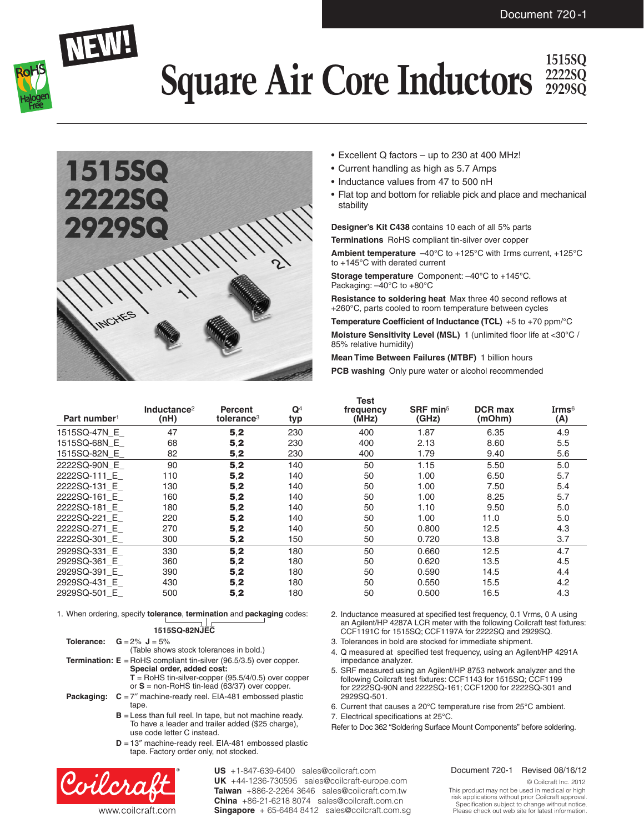

### **Square Air Core Inductors**  $\frac{15155Q}{29295Q}$ **2222SQ 2929SQ**



- Excellent Q factors up to 230 at 400 MHz!
- • Current handling as high as 5.7 Amps
- Inductance values from 47 to 500 nH
- Flat top and bottom for reliable pick and place and mechanical stability

**Designer's Kit C438** contains 10 each of all 5% parts **Terminations** RoHS compliant tin-silver over copper

**Ambient temperature** –40°C to +125°C with Irms current, +125°C to +145°C with derated current

**Storage temperature** Component: –40°C to +145°C. Packaging: –40°C to +80°C

**Resistance to soldering heat** Max three 40 second reflows at +260°C, parts cooled to room temperature between cycles

**Temperature Coefficient of Inductance (TCL)** +5 to +70 ppm/°C **Moisture Sensitivity Level (MSL)** 1 (unlimited floor life at <30°C / 85% relative humidity)

**Mean Time Between Failures (MTBF)** 1 billion hours **PCB washing** Only pure water or alcohol recommended

| Part number <sup>1</sup> | Inductance <sup>2</sup><br>(nH) | Percent<br>tolerance <sup>3</sup> | $\mathbf{Q}^4$<br>typ | Test<br>frequency<br>(MHz) | $S$ RF min <sup>5</sup><br>(GHz) | <b>DCR max</b><br>(mOhm) | Irms $^6\,$<br>(A) |
|--------------------------|---------------------------------|-----------------------------------|-----------------------|----------------------------|----------------------------------|--------------------------|--------------------|
| 1515SQ-47N E             | 47                              | 5,2                               | 230                   | 400                        | 1.87                             | 6.35                     | 4.9                |
| 1515SQ-68N E             | 68                              | 5,2                               | 230                   | 400                        | 2.13                             | 8.60                     | 5.5                |
| 1515SQ-82N E             | 82                              | 5,2                               | 230                   | 400                        | 1.79                             | 9.40                     | 5.6                |
| 2222SQ-90N E             | 90                              | 5,2                               | 140                   | 50                         | 1.15                             | 5.50                     | 5.0                |
| 2222SQ-111 E             | 110                             | 5,2                               | 140                   | 50                         | 1.00                             | 6.50                     | 5.7                |
| 2222SQ-131 E             | 130                             | 5,2                               | 140                   | 50                         | 1.00                             | 7.50                     | 5.4                |
| 2222SQ-161 E             | 160                             | 5,2                               | 140                   | 50                         | 1.00                             | 8.25                     | 5.7                |
| 2222SQ-181 E             | 180                             | 5,2                               | 140                   | 50                         | 1.10                             | 9.50                     | 5.0                |
| 2222SQ-221 E             | 220                             | 5,2                               | 140                   | 50                         | 1.00                             | 11.0                     | 5.0                |
| 2222SQ-271 E             | 270                             | 5,2                               | 140                   | 50                         | 0.800                            | 12.5                     | 4.3                |
| 2222SQ-301 E             | 300                             | 5,2                               | 150                   | 50                         | 0.720                            | 13.8                     | 3.7                |
| 2929SQ-331 E             | 330                             | 5,2                               | 180                   | 50                         | 0.660                            | 12.5                     | 4.7                |
| 2929SQ-361 E             | 360                             | 5,2                               | 180                   | 50                         | 0.620                            | 13.5                     | 4.5                |
| 2929SQ-391 E             | 390                             | 5,2                               | 180                   | 50                         | 0.590                            | 14.5                     | 4.4                |
| 2929SQ-431 E             | 430                             | 5,2                               | 180                   | 50                         | 0.550                            | 15.5                     | 4.2                |
| 2929SQ-501 E             | 500                             | 5,2                               | 180                   | 50                         | 0.500                            | 16.5                     | 4.3                |

1. When ordering, specify **tolerance**, **termination** and **packaging** codes:

| <b>15SQ-82NJE0</b> |  |
|--------------------|--|

| <b>Tolerance:</b> $G = 2\% J = 5\%$     |
|-----------------------------------------|
| (Table shows stock tolerances in bold.) |

- **Termination: E** = RoHS compliant tin-silver (96.5/3.5) over copper. **Special order, added cost: T** = RoHS tin-silver-copper (95.5/4/0.5) over copper or **S** = non-RoHS tin-lead (63/37) over copper.
- **Packaging:**  $C = 7$ <sup>"</sup> machine-ready reel. EIA-481 embossed plastic tape.
	- **B** = Less than full reel. In tape, but not machine ready. To have a leader and trailer added (\$25 charge), use code letter C instead.
	- **D** = 13″ machine-ready reel. EIA-481 embossed plastic tape. Factory order only, not stocked.



**US** +1-847-639-6400 sales@coilcraft.com **UK** +44-1236-730595 sales@coilcraft-europe.com **Taiwan** +886-2-2264 3646 sales@coilcraft.com.tw **China** +86-21-6218 8074 sales@coilcraft.com.cn **Singapore** + 65-6484 8412 sales@coilcraft.com.sg

- 2. Inductance measured at specified test frequency, 0.1 Vrms, 0 A using an Agilent/HP 4287A LCR meter with the following Coilcraft test fixtures: CCF1191C for 1515SQ; CCF1197A for 2222SQ and 2929SQ.
- 3. Tolerances in bold are stocked for immediate shipment.
- 4. Q measured at specified test frequency, using an Agilent/HP 4291A impedance analyzer.
- 5. SRF measured using an Agilent/HP 8753 network analyzer and the following Coilcraft test fixtures: CCF1143 for 1515SQ; CCF1199 for 2222SQ-90N and 2222SQ-161; CCF1200 for 2222SQ-301 and 2929SQ-501.
- 6. Current that causes a 20°C temperature rise from 25°C ambient.
- 7. Electrical specifications at 25°C.

Refer to Doc 362 "Soldering Surface Mount Components" before soldering.

#### Document 720-1 Revised 08/16/12

© Coilcraft Inc. 2012

This product may not be used in medical or high risk applications without prior Coilcraft approval. Specification subject to change without notice. Please check out web site for latest information.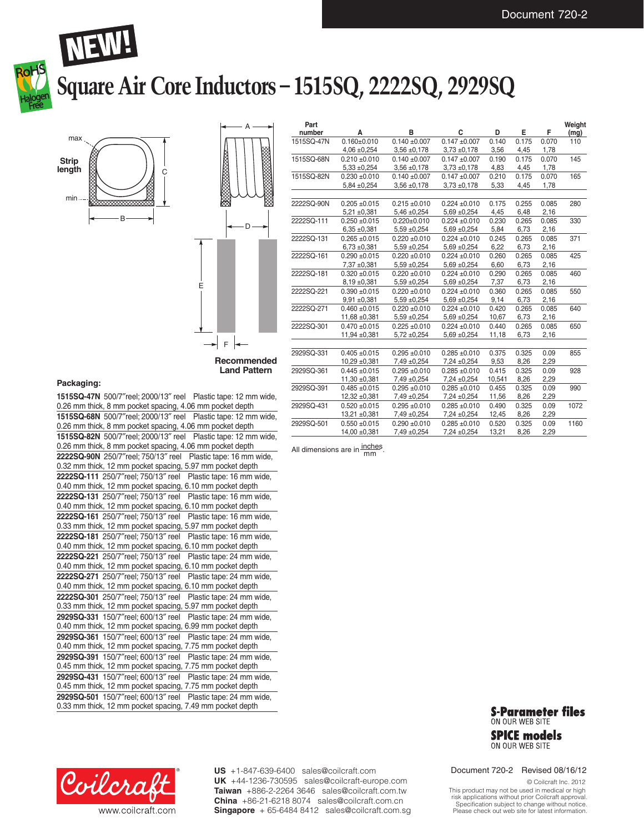



# **Square Air Core Inductors – 1515SQ, 2222SQ, 2929SQ**





| Part<br>number | А                 | в                 | C                 | D      | E     | F     | Weight<br>(mg) |
|----------------|-------------------|-------------------|-------------------|--------|-------|-------|----------------|
| 1515SQ-47N     | $0.160 \pm 0.010$ | $0.140 + 0.007$   | $0.147 + 0.007$   | 0.140  | 0.175 | 0.070 | 110            |
|                | $4,06 \pm 0,254$  | $3,56 \pm 0,178$  | $3,73 \pm 0,178$  | 3,56   | 4,45  | 1,78  |                |
| 1515SQ-68N     | $0.210 \pm 0.010$ | $0.140 + 0.007$   | $0.147 + 0.007$   | 0.190  | 0.175 | 0.070 | 145            |
|                | $5,33 \pm 0,254$  | $3,56 \pm 0,178$  | $3,73 \pm 0,178$  | 4,83   | 4,45  | 1,78  |                |
| 1515SQ-82N     | $0.230 + 0.010$   | $0.140 + 0.007$   | $0.147 \pm 0.007$ | 0.210  | 0.175 | 0.070 | 165            |
|                | 5,84 ±0,254       | $3,56 \pm 0,178$  | $3,73 \pm 0,178$  | 5,33   | 4,45  | 1,78  |                |
|                |                   |                   |                   |        |       |       |                |
| 2222SQ-90N     | $0.205 + 0.015$   | $0.215 \pm 0.010$ | $0.224 \pm 0.010$ | 0.175  | 0.255 | 0.085 | 280            |
|                | $5,21 \pm 0,381$  | $5,46 \pm 0,254$  | $5,69 + 0,254$    | 4,45   | 6,48  | 2,16  |                |
| 2222SQ-111     | $0.250 + 0.015$   | $0.220 + 0.010$   | $0.224 + 0.010$   | 0.230  | 0.265 | 0.085 | 330            |
|                | $6,35 \pm 0,381$  | $5,59 + 0,254$    | $5,69 \pm 0,254$  | 5,84   | 6,73  | 2,16  |                |
| 2222SQ-131     | $0.265 + 0.015$   | $0.220 \pm 0.010$ | $0.224 \pm 0.010$ | 0.245  | 0.265 | 0.085 | 371            |
|                | $6,73 \pm 0,381$  | $5,59 + 0,254$    | $5,69 + 0,254$    | 6,22   | 6,73  | 2,16  |                |
| 2222SQ-161     | $0.290 + 0.015$   | $0.220 \pm 0.010$ | $0.224 \pm 0.010$ | 0.260  | 0.265 | 0.085 | 425            |
|                | 7,37 ±0,381       | $5,59 \pm 0,254$  | $5,69 \pm 0,254$  | 6,60   | 6,73  | 2,16  |                |
| 2222SQ-181     | $0.320 + 0.015$   | $0.220 \pm 0.010$ | $0.224 \pm 0.010$ | 0.290  | 0.265 | 0.085 | 460            |
|                | $8,19 \pm 0,381$  | $5,59 + 0,254$    | $5,69 + 0,254$    | 7,37   | 6,73  | 2,16  |                |
| 2222SQ-221     | $0.390 + 0.015$   | $0.220 \pm 0.010$ | $0.224 \pm 0.010$ | 0.360  | 0.265 | 0.085 | 550            |
|                | $9,91 \pm 0,381$  | $5,59 \pm 0,254$  | $5,69 + 0,254$    | 9,14   | 6,73  | 2,16  |                |
| 2222SQ-271     | $0.460 + 0.015$   | $0.220 \pm 0.010$ | $0.224 \pm 0.010$ | 0.420  | 0.265 | 0.085 | 640            |
|                | $11,68 + 0,381$   | $5,59 \pm 0,254$  | $5,69 + 0,254$    | 10,67  | 6,73  | 2,16  |                |
| 2222SQ-301     | $0.470 + 0.015$   | $0.225 \pm 0.010$ | $0.224 \pm 0.010$ | 0.440  | 0.265 | 0.085 | 650            |
|                | 11,94 ±0,381      | $5,72 \pm 0,254$  | $5,69 + 0,254$    | 11,18  | 6,73  | 2,16  |                |
|                |                   |                   |                   |        |       |       |                |
| 2929SQ-331     | $0.405 + 0.015$   | $0.295 + 0.010$   | $0.285 + 0.010$   | 0.375  | 0.325 | 0.09  | 855            |
|                | $10,29 + 0,381$   | $7,49 \pm 0,254$  | $7,24 \pm 0,254$  | 9,53   | 8,26  | 2,29  |                |
| 2929SQ-361     | $0.445 + 0.015$   | $0.295 + 0.010$   | $0.285 + 0.010$   | 0.415  | 0.325 | 0.09  | 928            |
|                | 11,30 ±0,381      | 7,49 ±0,254       | $7,24 \pm 0,254$  | 10,541 | 8,26  | 2,29  |                |
| 2929SQ-391     | $0.485 + 0.015$   | $0.295 + 0.010$   | $0.285 + 0.010$   | 0.455  | 0.325 | 0.09  | 990            |
|                | 12,32 ±0,381      | 7,49 ±0,254       | 7,24 ±0,254       | 11,56  | 8,26  | 2,29  |                |
| 2929SQ-431     | $0.520 \pm 0.015$ | $0.295 + 0.010$   | $0.285 + 0.010$   | 0.490  | 0.325 | 0.09  | 1072           |
|                | 13,21 ±0,381      | 7,49 ±0,254       | $7,24 \pm 0,254$  | 12,45  | 8,26  | 2,29  |                |
| 2929SQ-501     | $0.550 + 0.015$   | $0.290 + 0.010$   | $0.285 + 0.010$   | 0.520  | 0.325 | 0.09  | 1160           |
|                | 14,00 ±0,381      | 7,49 ±0,254       | 7,24 ±0,254       | 13,21  | 8,26  | 2,29  |                |

#### **Packaging:**

**1515SQ-47N** 500/7″reel; 2000/13″ reel Plastic tape: 12 mm wide, 0.26 mm thick, 8 mm pocket spacing, 4.06 mm pocket depth **1515SQ-68N** 500/7″reel; 2000/13″ reel Plastic tape: 12 mm wide, 0.26 mm thick, 8 mm pocket spacing, 4.06 mm pocket depth **1515SQ-82N** 500/7″reel; 2000/13″ reel Plastic tape: 12 mm wide, 0.26 mm thick, 8 mm pocket spacing, 4.06 mm pocket depth **2222SQ-90N** 250/7″reel; 750/13″ reel Plastic tape: 16 mm wide, 0.32 mm thick, 12 mm pocket spacing, 5.97 mm pocket depth **2222SQ-111** 250/7″reel; 750/13″ reel Plastic tape: 16 mm wide, 0.40 mm thick, 12 mm pocket spacing, 6.10 mm pocket depth **2222SQ-131** 250/7″reel; 750/13″ reel Plastic tape: 16 mm wide, 0.40 mm thick, 12 mm pocket spacing, 6.10 mm pocket depth **2222SQ-161** 250/7″reel; 750/13″ reel Plastic tape: 16 mm wide, 0.33 mm thick, 12 mm pocket spacing, 5.97 mm pocket depth **2222SQ-181** 250/7″reel; 750/13″ reel Plastic tape: 16 mm wide, 0.40 mm thick, 12 mm pocket spacing, 6.10 mm pocket depth **2222SQ-221** 250/7″reel; 750/13″ reel Plastic tape: 24 mm wide, 0.40 mm thick, 12 mm pocket spacing, 6.10 mm pocket depth **2222SQ-271** 250/7″reel; 750/13″ reel Plastic tape: 24 mm wide, 0.40 mm thick, 12 mm pocket spacing, 6.10 mm pocket depth **2222SQ-301** 250/7″reel; 750/13″ reel Plastic tape: 24 mm wide, 0.33 mm thick, 12 mm pocket spacing, 5.97 mm pocket depth **2929SQ-331** 150/7″reel; 600/13″ reel Plastic tape: 24 mm wide, 0.40 mm thick, 12 mm pocket spacing, 6.99 mm pocket depth **2929SQ-361** 150/7″reel; 600/13″ reel Plastic tape: 24 mm wide, 0.40 mm thick, 12 mm pocket spacing, 7.75 mm pocket depth **2929SQ-391** 150/7″reel; 600/13″ reel Plastic tape: 24 mm wide, 0.45 mm thick, 12 mm pocket spacing, 7.75 mm pocket depth **2929SQ-431** 150/7″reel; 600/13″ reel Plastic tape: 24 mm wide, 0.45 mm thick, 12 mm pocket spacing, 7.75 mm pocket depth **2929SQ-501** 150/7″reel; 600/13″ reel Plastic tape: 24 mm wide, 0.33 mm thick, 12 mm pocket spacing, 7.49 mm pocket depth

All dimensions are in  $\frac{\text{inches}}{\text{mm}}$ 



**SPICE models** ON OUR WEB SITE

Coilcra www.coilcraft.com **US** +1-847-639-6400 sales@coilcraft.com **UK** +44-1236-730595 sales@coilcraft-europe.com **Taiwan** +886-2-2264 3646 sales@coilcraft.com.tw **China** +86-21-6218 8074 sales@coilcraft.com.cn **Singapore** + 65-6484 8412 sales@coilcraft.com.sg Document 720-2 Revised 08/16/12

© Coilcraft Inc. 2012

This product may not be used in medical or high risk applications without prior Coilcraft approval. Specification subject to change without notice. Please check out web site for latest information.